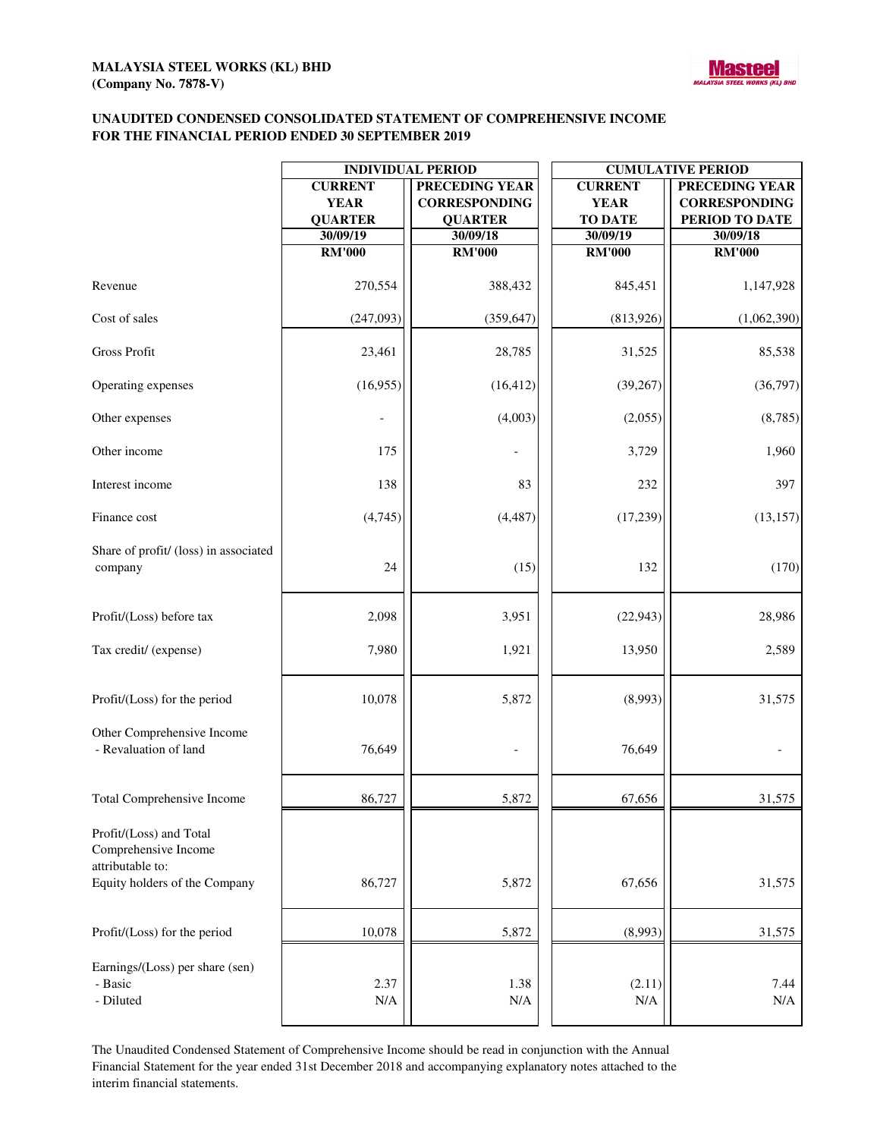

### **UNAUDITED CONDENSED CONSOLIDATED STATEMENT OF COMPREHENSIVE INCOME FOR THE FINANCIAL PERIOD ENDED 30 SEPTEMBER 2019**

|                                                                     | <b>INDIVIDUAL PERIOD</b>                        |                                                                 | <b>CUMULATIVE PERIOD</b>                        |                                                                 |
|---------------------------------------------------------------------|-------------------------------------------------|-----------------------------------------------------------------|-------------------------------------------------|-----------------------------------------------------------------|
|                                                                     | <b>CURRENT</b><br><b>YEAR</b><br><b>QUARTER</b> | <b>PRECEDING YEAR</b><br><b>CORRESPONDING</b><br><b>QUARTER</b> | <b>CURRENT</b><br><b>YEAR</b><br><b>TO DATE</b> | <b>PRECEDING YEAR</b><br><b>CORRESPONDING</b><br>PERIOD TO DATE |
|                                                                     | 30/09/19                                        | 30/09/18                                                        | 30/09/19                                        | 30/09/18                                                        |
|                                                                     | <b>RM'000</b>                                   | <b>RM'000</b>                                                   | <b>RM'000</b>                                   | <b>RM'000</b>                                                   |
| Revenue                                                             | 270,554                                         | 388,432                                                         | 845,451                                         | 1,147,928                                                       |
| Cost of sales                                                       | (247,093)                                       | (359, 647)                                                      | (813,926)                                       | (1,062,390)                                                     |
| <b>Gross Profit</b>                                                 | 23,461                                          | 28,785                                                          | 31,525                                          | 85,538                                                          |
| Operating expenses                                                  | (16,955)                                        | (16, 412)                                                       | (39, 267)                                       | (36,797)                                                        |
| Other expenses                                                      |                                                 | (4,003)                                                         | (2,055)                                         | (8,785)                                                         |
| Other income                                                        | 175                                             |                                                                 | 3,729                                           | 1,960                                                           |
| Interest income                                                     | 138                                             | 83                                                              | 232                                             | 397                                                             |
| Finance cost                                                        | (4,745)                                         | (4, 487)                                                        | (17, 239)                                       | (13, 157)                                                       |
| Share of profit/ (loss) in associated<br>company                    | 24                                              | (15)                                                            | 132                                             | (170)                                                           |
| Profit/(Loss) before tax                                            | 2,098                                           | 3,951                                                           | (22, 943)                                       | 28,986                                                          |
| Tax credit/ (expense)                                               | 7,980                                           | 1,921                                                           | 13,950                                          | 2,589                                                           |
| Profit/(Loss) for the period                                        | 10,078                                          | 5,872                                                           | (8,993)                                         | 31,575                                                          |
| Other Comprehensive Income<br>- Revaluation of land                 | 76,649                                          |                                                                 | 76,649                                          |                                                                 |
| Total Comprehensive Income                                          | 86,727                                          | 5,872                                                           | 67,656                                          | 31,575                                                          |
| Profit/(Loss) and Total<br>Comprehensive Income<br>attributable to: |                                                 |                                                                 |                                                 |                                                                 |
| Equity holders of the Company                                       | 86,727                                          | 5,872                                                           | 67,656                                          | 31,575                                                          |
| Profit/(Loss) for the period                                        | 10,078                                          | 5,872                                                           | (8,993)                                         | 31,575                                                          |
| Earnings/(Loss) per share (sen)<br>- Basic<br>- Diluted             | 2.37<br>N/A                                     | 1.38<br>N/A                                                     | (2.11)<br>N/A                                   | 7.44<br>$\rm N/A$                                               |

The Unaudited Condensed Statement of Comprehensive Income should be read in conjunction with the Annual Financial Statement for the year ended 31st December 2018 and accompanying explanatory notes attached to the interim financial statements.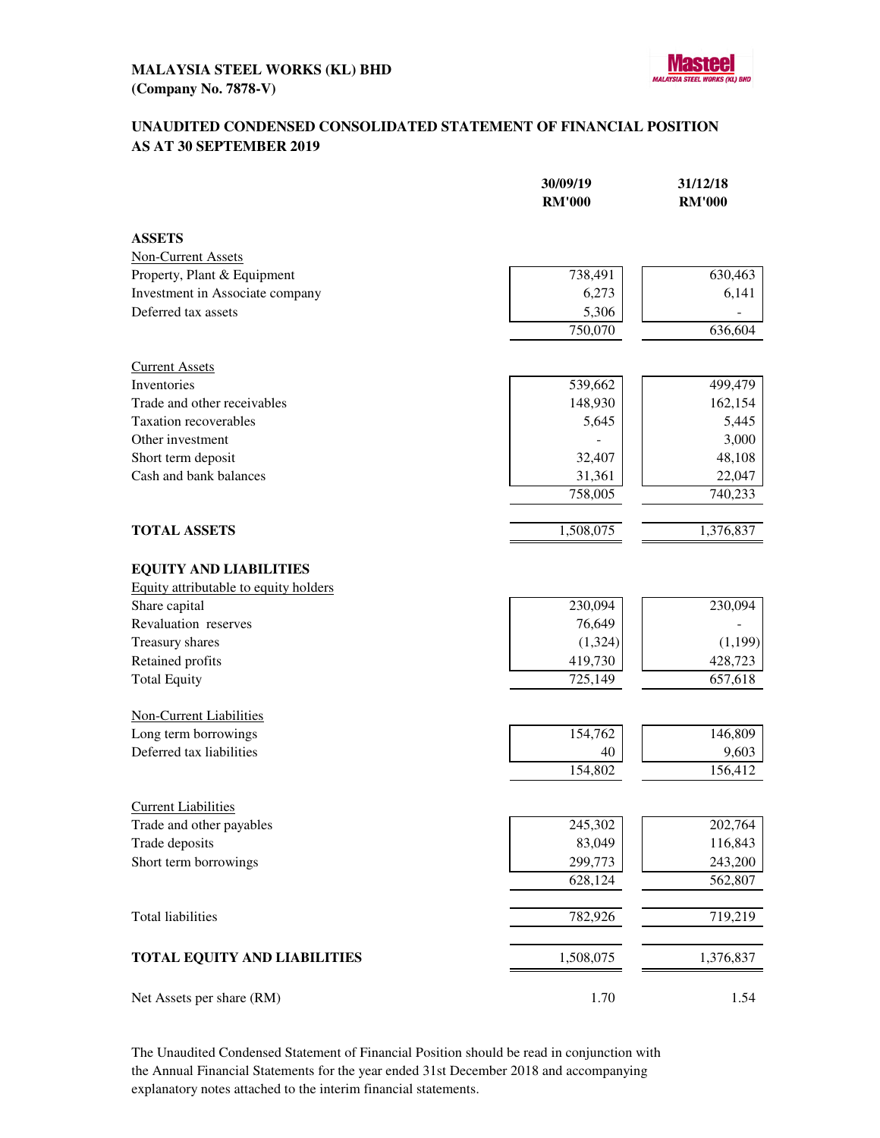

## **UNAUDITED CONDENSED CONSOLIDATED STATEMENT OF FINANCIAL POSITION AS AT 30 SEPTEMBER 2019**

|                                       | 30/09/19<br><b>RM'000</b> | 31/12/18<br><b>RM'000</b> |
|---------------------------------------|---------------------------|---------------------------|
| <b>ASSETS</b>                         |                           |                           |
| <b>Non-Current Assets</b>             |                           |                           |
| Property, Plant & Equipment           | 738,491                   | 630,463                   |
| Investment in Associate company       | 6,273                     | 6,141                     |
| Deferred tax assets                   | 5,306                     |                           |
|                                       | 750,070                   | 636,604                   |
| <b>Current Assets</b>                 |                           |                           |
| Inventories                           | 539,662                   | 499,479                   |
| Trade and other receivables           | 148,930                   | 162,154                   |
| <b>Taxation recoverables</b>          | 5,645                     | 5,445                     |
| Other investment                      |                           | 3,000                     |
| Short term deposit                    | 32,407                    | 48,108                    |
| Cash and bank balances                | 31,361                    | 22,047                    |
|                                       | 758,005                   | 740,233                   |
| <b>TOTAL ASSETS</b>                   | 1,508,075                 | 1,376,837                 |
| <b>EQUITY AND LIABILITIES</b>         |                           |                           |
| Equity attributable to equity holders |                           |                           |
| Share capital                         | 230,094                   | 230,094                   |
| Revaluation reserves                  | 76,649                    |                           |
| Treasury shares                       | (1,324)                   | (1, 199)                  |
| Retained profits                      | 419,730                   | 428,723                   |
| <b>Total Equity</b>                   | 725,149                   | 657,618                   |
| <b>Non-Current Liabilities</b>        |                           |                           |
| Long term borrowings                  | 154,762                   | 146,809                   |
| Deferred tax liabilities              | 40                        | 9,603                     |
|                                       | 154,802                   | 156,412                   |
| <b>Current Liabilities</b>            |                           |                           |
| Trade and other payables              | 245,302                   | 202,764                   |
| Trade deposits                        | 83,049                    | 116,843                   |
| Short term borrowings                 | 299,773                   | 243,200                   |
|                                       | 628,124                   | 562,807                   |
| <b>Total liabilities</b>              | 782,926                   | 719,219                   |
| <b>TOTAL EQUITY AND LIABILITIES</b>   | 1,508,075                 | 1,376,837                 |
| Net Assets per share (RM)             | 1.70                      | 1.54                      |

The Unaudited Condensed Statement of Financial Position should be read in conjunction with the Annual Financial Statements for the year ended 31st December 2018 and accompanying explanatory notes attached to the interim financial statements.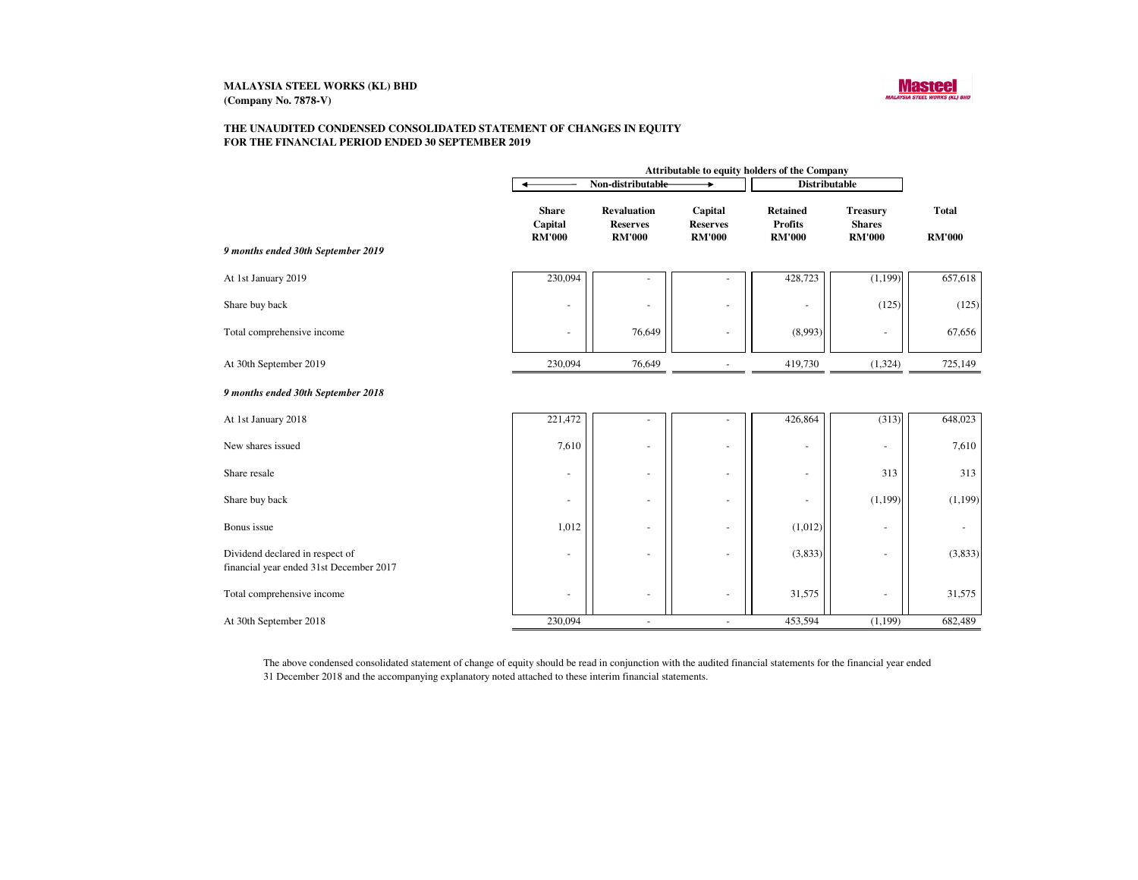

#### **THE UNAUDITED CONDENSED CONSOLIDATED STATEMENT OF CHANGES IN EQUITYFOR THE FINANCIAL PERIOD ENDED 30 SEPTEMBER 2019**

|                                                                            | Attributable to equity holders of the Company |                                                        |                                             |                                                    |                                                   |                               |
|----------------------------------------------------------------------------|-----------------------------------------------|--------------------------------------------------------|---------------------------------------------|----------------------------------------------------|---------------------------------------------------|-------------------------------|
|                                                                            | Non-distributable                             |                                                        | <b>Distributable</b>                        |                                                    |                                                   |                               |
| 9 months ended 30th September 2019                                         | <b>Share</b><br>Capital<br><b>RM'000</b>      | <b>Revaluation</b><br><b>Reserves</b><br><b>RM'000</b> | Capital<br><b>Reserves</b><br><b>RM'000</b> | <b>Retained</b><br><b>Profits</b><br><b>RM'000</b> | <b>Treasury</b><br><b>Shares</b><br><b>RM'000</b> | <b>Total</b><br><b>RM'000</b> |
|                                                                            |                                               |                                                        |                                             |                                                    |                                                   |                               |
| At 1st January 2019                                                        | 230,094                                       |                                                        |                                             | 428,723                                            | (1, 199)                                          | 657,618                       |
| Share buy back                                                             | $\overline{\phantom{a}}$                      | ÷                                                      | $\sim$                                      |                                                    | (125)                                             | (125)                         |
| Total comprehensive income                                                 | $\overline{\phantom{a}}$                      | 76,649                                                 | $\sim$                                      | (8,993)                                            | $\sim$                                            | 67,656                        |
| At 30th September 2019                                                     | 230,094                                       | 76,649                                                 |                                             | 419,730                                            | (1, 324)                                          | 725,149                       |
| 9 months ended 30th September 2018                                         |                                               |                                                        |                                             |                                                    |                                                   |                               |
| At 1st January 2018                                                        | 221,472                                       | ۰                                                      | ۰                                           | 426,864                                            | (313)                                             | 648,023                       |
| New shares issued                                                          | 7,610                                         | ÷,                                                     | $\overline{a}$                              | $\overline{a}$                                     | $\sim$                                            | 7,610                         |
| Share resale                                                               | $\overline{\phantom{a}}$                      | $\overline{\phantom{a}}$                               | $\overline{\phantom{a}}$                    | ٠                                                  | 313                                               | 313                           |
| Share buy back                                                             | $\overline{\phantom{a}}$                      | ÷,                                                     | $\sim$                                      |                                                    | (1, 199)                                          | (1, 199)                      |
| Bonus issue                                                                | 1,012                                         | $\blacksquare$                                         | $\overline{\phantom{a}}$                    | (1,012)                                            |                                                   |                               |
| Dividend declared in respect of<br>financial year ended 31st December 2017 | $\sim$                                        | ÷,                                                     | $\blacksquare$                              | (3,833)                                            | $\sim$                                            | (3,833)                       |
| Total comprehensive income                                                 | ٠                                             | ٠                                                      | $\sim$                                      | 31,575                                             |                                                   | 31,575                        |
| At 30th September 2018                                                     | 230,094                                       | $\overline{\phantom{a}}$                               | $\blacksquare$                              | 453,594                                            | (1, 199)                                          | 682,489                       |

The above condensed consolidated statement of change of equity should be read in conjunction with the audited financial statements for the financial year ended31 December 2018 and the accompanying explanatory noted attached to these interim financial statements.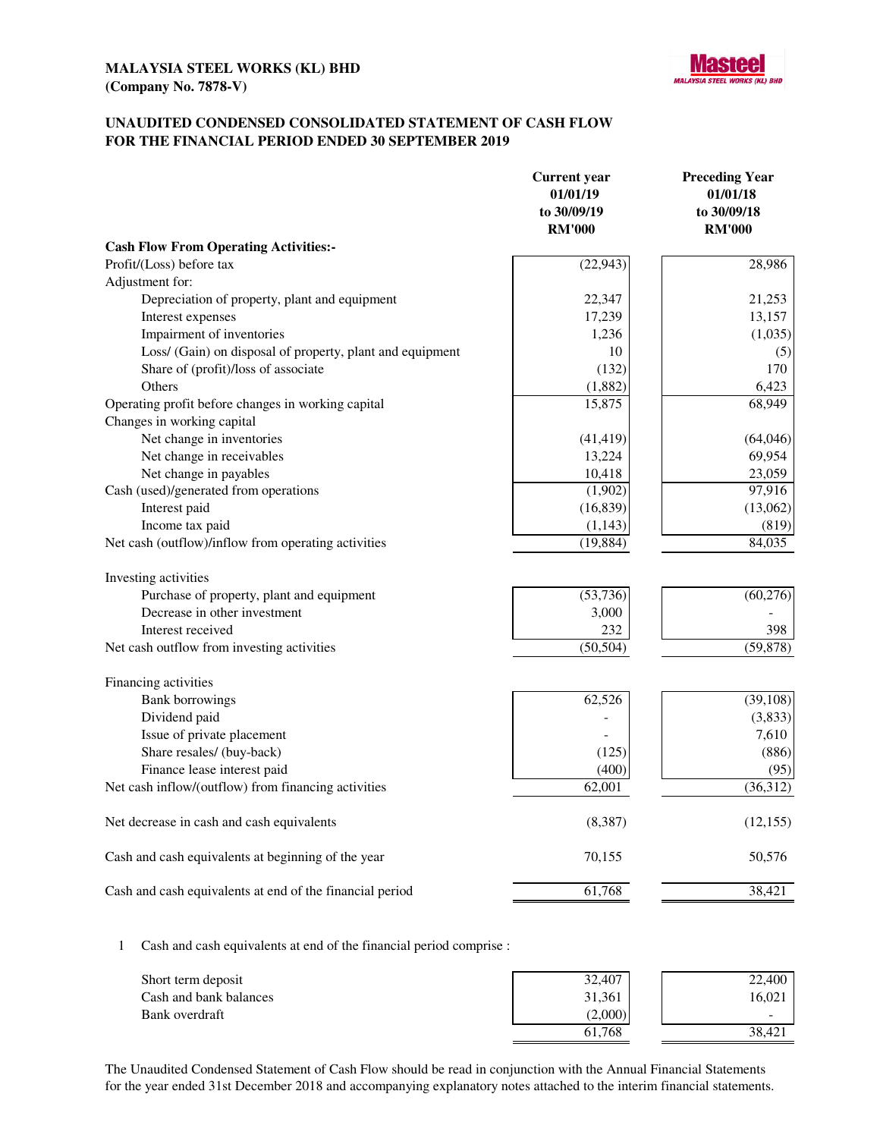

### **UNAUDITED CONDENSED CONSOLIDATED STATEMENT OF CASH FLOW FOR THE FINANCIAL PERIOD ENDED 30 SEPTEMBER 2019**

| <b>Cash Flow From Operating Activities:-</b><br>Profit/(Loss) before tax<br>(22, 943)<br>28,986<br>Adjustment for:<br>21,253<br>Depreciation of property, plant and equipment<br>22,347<br>13,157<br>Interest expenses<br>17,239<br>Impairment of inventories<br>1,236<br>(1,035)<br>Loss/ (Gain) on disposal of property, plant and equipment<br>10<br>(5)<br>Share of (profit)/loss of associate<br>170<br>(132)<br>Others<br>(1,882)<br>6,423<br>Operating profit before changes in working capital<br>68,949<br>15,875<br>Changes in working capital<br>Net change in inventories<br>(41, 419)<br>(64, 046)<br>Net change in receivables<br>13,224<br>69,954<br>Net change in payables<br>10,418<br>23,059<br>Cash (used)/generated from operations<br>97,916<br>(1,902)<br>Interest paid<br>(16, 839)<br>(13,062)<br>Income tax paid<br>(1, 143)<br>(819)<br>Net cash (outflow)/inflow from operating activities<br>(19, 884)<br>84,035<br>Investing activities<br>Purchase of property, plant and equipment<br>(53, 736)<br>(60, 276)<br>Decrease in other investment<br>3,000<br>Interest received<br>398<br>232<br>Net cash outflow from investing activities<br>(50, 504)<br>(59, 878)<br>Financing activities<br>62,526<br>(39, 108)<br><b>Bank borrowings</b><br>Dividend paid<br>(3,833)<br>Issue of private placement<br>7,610<br>Share resales/ (buy-back)<br>(886)<br>(125)<br>Finance lease interest paid<br>(400)<br>(95)<br>Net cash inflow/(outflow) from financing activities<br>(36,312)<br>62,001<br>Net decrease in cash and cash equivalents<br>(8,387)<br>(12, 155)<br>Cash and cash equivalents at beginning of the year<br>70,155<br>50,576<br>61,768<br>38,421<br>Cash and cash equivalents at end of the financial period | <b>Current</b> year<br>01/01/19<br>to 30/09/19<br><b>RM'000</b> | <b>Preceding Year</b><br>01/01/18<br>to 30/09/18<br><b>RM'000</b> |
|--------------------------------------------------------------------------------------------------------------------------------------------------------------------------------------------------------------------------------------------------------------------------------------------------------------------------------------------------------------------------------------------------------------------------------------------------------------------------------------------------------------------------------------------------------------------------------------------------------------------------------------------------------------------------------------------------------------------------------------------------------------------------------------------------------------------------------------------------------------------------------------------------------------------------------------------------------------------------------------------------------------------------------------------------------------------------------------------------------------------------------------------------------------------------------------------------------------------------------------------------------------------------------------------------------------------------------------------------------------------------------------------------------------------------------------------------------------------------------------------------------------------------------------------------------------------------------------------------------------------------------------------------------------------------------------------------------------------------------------------------------|-----------------------------------------------------------------|-------------------------------------------------------------------|
|                                                                                                                                                                                                                                                                                                                                                                                                                                                                                                                                                                                                                                                                                                                                                                                                                                                                                                                                                                                                                                                                                                                                                                                                                                                                                                                                                                                                                                                                                                                                                                                                                                                                                                                                                        |                                                                 |                                                                   |
|                                                                                                                                                                                                                                                                                                                                                                                                                                                                                                                                                                                                                                                                                                                                                                                                                                                                                                                                                                                                                                                                                                                                                                                                                                                                                                                                                                                                                                                                                                                                                                                                                                                                                                                                                        |                                                                 |                                                                   |
|                                                                                                                                                                                                                                                                                                                                                                                                                                                                                                                                                                                                                                                                                                                                                                                                                                                                                                                                                                                                                                                                                                                                                                                                                                                                                                                                                                                                                                                                                                                                                                                                                                                                                                                                                        |                                                                 |                                                                   |
|                                                                                                                                                                                                                                                                                                                                                                                                                                                                                                                                                                                                                                                                                                                                                                                                                                                                                                                                                                                                                                                                                                                                                                                                                                                                                                                                                                                                                                                                                                                                                                                                                                                                                                                                                        |                                                                 |                                                                   |
|                                                                                                                                                                                                                                                                                                                                                                                                                                                                                                                                                                                                                                                                                                                                                                                                                                                                                                                                                                                                                                                                                                                                                                                                                                                                                                                                                                                                                                                                                                                                                                                                                                                                                                                                                        |                                                                 |                                                                   |
|                                                                                                                                                                                                                                                                                                                                                                                                                                                                                                                                                                                                                                                                                                                                                                                                                                                                                                                                                                                                                                                                                                                                                                                                                                                                                                                                                                                                                                                                                                                                                                                                                                                                                                                                                        |                                                                 |                                                                   |
|                                                                                                                                                                                                                                                                                                                                                                                                                                                                                                                                                                                                                                                                                                                                                                                                                                                                                                                                                                                                                                                                                                                                                                                                                                                                                                                                                                                                                                                                                                                                                                                                                                                                                                                                                        |                                                                 |                                                                   |
|                                                                                                                                                                                                                                                                                                                                                                                                                                                                                                                                                                                                                                                                                                                                                                                                                                                                                                                                                                                                                                                                                                                                                                                                                                                                                                                                                                                                                                                                                                                                                                                                                                                                                                                                                        |                                                                 |                                                                   |
|                                                                                                                                                                                                                                                                                                                                                                                                                                                                                                                                                                                                                                                                                                                                                                                                                                                                                                                                                                                                                                                                                                                                                                                                                                                                                                                                                                                                                                                                                                                                                                                                                                                                                                                                                        |                                                                 |                                                                   |
|                                                                                                                                                                                                                                                                                                                                                                                                                                                                                                                                                                                                                                                                                                                                                                                                                                                                                                                                                                                                                                                                                                                                                                                                                                                                                                                                                                                                                                                                                                                                                                                                                                                                                                                                                        |                                                                 |                                                                   |
|                                                                                                                                                                                                                                                                                                                                                                                                                                                                                                                                                                                                                                                                                                                                                                                                                                                                                                                                                                                                                                                                                                                                                                                                                                                                                                                                                                                                                                                                                                                                                                                                                                                                                                                                                        |                                                                 |                                                                   |
|                                                                                                                                                                                                                                                                                                                                                                                                                                                                                                                                                                                                                                                                                                                                                                                                                                                                                                                                                                                                                                                                                                                                                                                                                                                                                                                                                                                                                                                                                                                                                                                                                                                                                                                                                        |                                                                 |                                                                   |
|                                                                                                                                                                                                                                                                                                                                                                                                                                                                                                                                                                                                                                                                                                                                                                                                                                                                                                                                                                                                                                                                                                                                                                                                                                                                                                                                                                                                                                                                                                                                                                                                                                                                                                                                                        |                                                                 |                                                                   |
|                                                                                                                                                                                                                                                                                                                                                                                                                                                                                                                                                                                                                                                                                                                                                                                                                                                                                                                                                                                                                                                                                                                                                                                                                                                                                                                                                                                                                                                                                                                                                                                                                                                                                                                                                        |                                                                 |                                                                   |
|                                                                                                                                                                                                                                                                                                                                                                                                                                                                                                                                                                                                                                                                                                                                                                                                                                                                                                                                                                                                                                                                                                                                                                                                                                                                                                                                                                                                                                                                                                                                                                                                                                                                                                                                                        |                                                                 |                                                                   |
|                                                                                                                                                                                                                                                                                                                                                                                                                                                                                                                                                                                                                                                                                                                                                                                                                                                                                                                                                                                                                                                                                                                                                                                                                                                                                                                                                                                                                                                                                                                                                                                                                                                                                                                                                        |                                                                 |                                                                   |
|                                                                                                                                                                                                                                                                                                                                                                                                                                                                                                                                                                                                                                                                                                                                                                                                                                                                                                                                                                                                                                                                                                                                                                                                                                                                                                                                                                                                                                                                                                                                                                                                                                                                                                                                                        |                                                                 |                                                                   |
|                                                                                                                                                                                                                                                                                                                                                                                                                                                                                                                                                                                                                                                                                                                                                                                                                                                                                                                                                                                                                                                                                                                                                                                                                                                                                                                                                                                                                                                                                                                                                                                                                                                                                                                                                        |                                                                 |                                                                   |
|                                                                                                                                                                                                                                                                                                                                                                                                                                                                                                                                                                                                                                                                                                                                                                                                                                                                                                                                                                                                                                                                                                                                                                                                                                                                                                                                                                                                                                                                                                                                                                                                                                                                                                                                                        |                                                                 |                                                                   |
|                                                                                                                                                                                                                                                                                                                                                                                                                                                                                                                                                                                                                                                                                                                                                                                                                                                                                                                                                                                                                                                                                                                                                                                                                                                                                                                                                                                                                                                                                                                                                                                                                                                                                                                                                        |                                                                 |                                                                   |
|                                                                                                                                                                                                                                                                                                                                                                                                                                                                                                                                                                                                                                                                                                                                                                                                                                                                                                                                                                                                                                                                                                                                                                                                                                                                                                                                                                                                                                                                                                                                                                                                                                                                                                                                                        |                                                                 |                                                                   |
|                                                                                                                                                                                                                                                                                                                                                                                                                                                                                                                                                                                                                                                                                                                                                                                                                                                                                                                                                                                                                                                                                                                                                                                                                                                                                                                                                                                                                                                                                                                                                                                                                                                                                                                                                        |                                                                 |                                                                   |
|                                                                                                                                                                                                                                                                                                                                                                                                                                                                                                                                                                                                                                                                                                                                                                                                                                                                                                                                                                                                                                                                                                                                                                                                                                                                                                                                                                                                                                                                                                                                                                                                                                                                                                                                                        |                                                                 |                                                                   |
|                                                                                                                                                                                                                                                                                                                                                                                                                                                                                                                                                                                                                                                                                                                                                                                                                                                                                                                                                                                                                                                                                                                                                                                                                                                                                                                                                                                                                                                                                                                                                                                                                                                                                                                                                        |                                                                 |                                                                   |
|                                                                                                                                                                                                                                                                                                                                                                                                                                                                                                                                                                                                                                                                                                                                                                                                                                                                                                                                                                                                                                                                                                                                                                                                                                                                                                                                                                                                                                                                                                                                                                                                                                                                                                                                                        |                                                                 |                                                                   |
|                                                                                                                                                                                                                                                                                                                                                                                                                                                                                                                                                                                                                                                                                                                                                                                                                                                                                                                                                                                                                                                                                                                                                                                                                                                                                                                                                                                                                                                                                                                                                                                                                                                                                                                                                        |                                                                 |                                                                   |
|                                                                                                                                                                                                                                                                                                                                                                                                                                                                                                                                                                                                                                                                                                                                                                                                                                                                                                                                                                                                                                                                                                                                                                                                                                                                                                                                                                                                                                                                                                                                                                                                                                                                                                                                                        |                                                                 |                                                                   |
|                                                                                                                                                                                                                                                                                                                                                                                                                                                                                                                                                                                                                                                                                                                                                                                                                                                                                                                                                                                                                                                                                                                                                                                                                                                                                                                                                                                                                                                                                                                                                                                                                                                                                                                                                        |                                                                 |                                                                   |
|                                                                                                                                                                                                                                                                                                                                                                                                                                                                                                                                                                                                                                                                                                                                                                                                                                                                                                                                                                                                                                                                                                                                                                                                                                                                                                                                                                                                                                                                                                                                                                                                                                                                                                                                                        |                                                                 |                                                                   |
|                                                                                                                                                                                                                                                                                                                                                                                                                                                                                                                                                                                                                                                                                                                                                                                                                                                                                                                                                                                                                                                                                                                                                                                                                                                                                                                                                                                                                                                                                                                                                                                                                                                                                                                                                        |                                                                 |                                                                   |
|                                                                                                                                                                                                                                                                                                                                                                                                                                                                                                                                                                                                                                                                                                                                                                                                                                                                                                                                                                                                                                                                                                                                                                                                                                                                                                                                                                                                                                                                                                                                                                                                                                                                                                                                                        |                                                                 |                                                                   |
|                                                                                                                                                                                                                                                                                                                                                                                                                                                                                                                                                                                                                                                                                                                                                                                                                                                                                                                                                                                                                                                                                                                                                                                                                                                                                                                                                                                                                                                                                                                                                                                                                                                                                                                                                        |                                                                 |                                                                   |
|                                                                                                                                                                                                                                                                                                                                                                                                                                                                                                                                                                                                                                                                                                                                                                                                                                                                                                                                                                                                                                                                                                                                                                                                                                                                                                                                                                                                                                                                                                                                                                                                                                                                                                                                                        |                                                                 |                                                                   |

1 Cash and cash equivalents at end of the financial period comprise :

| Short term deposit     | 32,407  | 22,400 |
|------------------------|---------|--------|
| Cash and bank balances | 31,361  | 16,021 |
| Bank overdraft         | (2,000) | -      |
|                        | 61.768  | 38,421 |

The Unaudited Condensed Statement of Cash Flow should be read in conjunction with the Annual Financial Statements for the year ended 31st December 2018 and accompanying explanatory notes attached to the interim financial statements.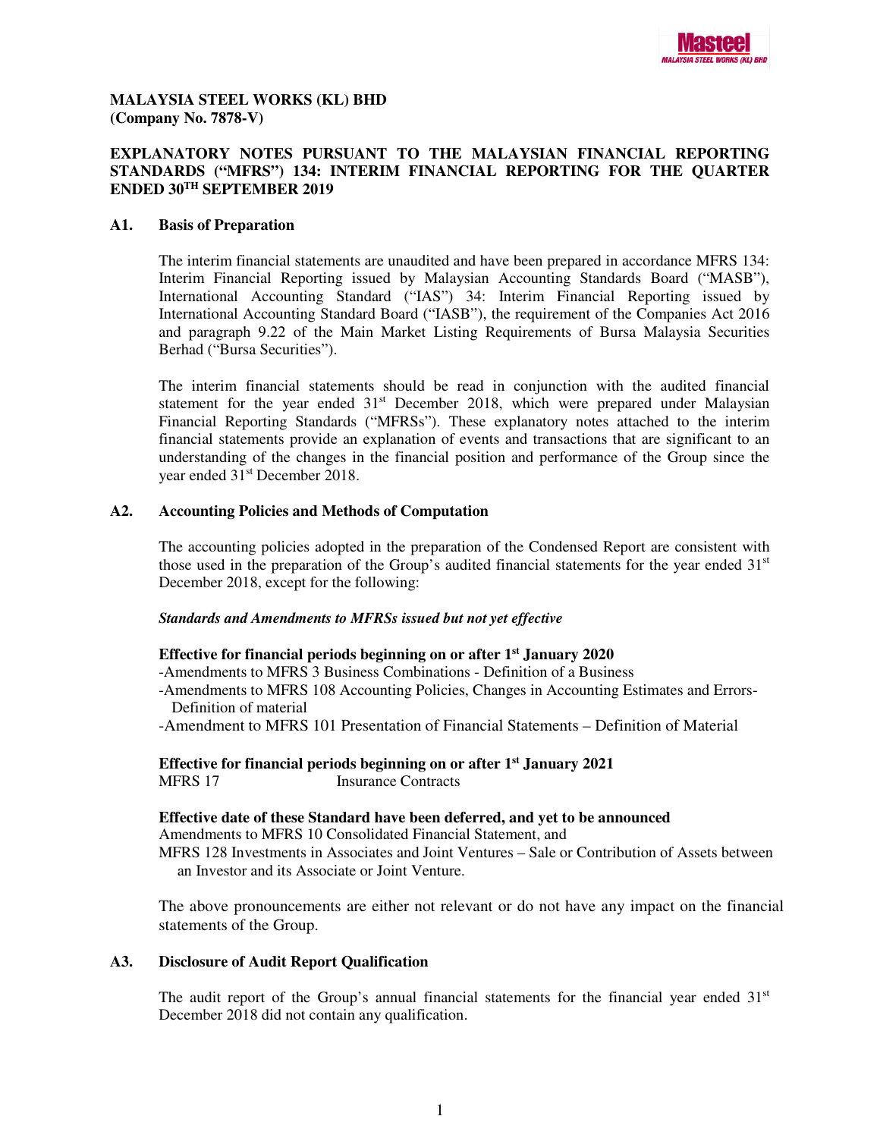

### **MALAYSIA STEEL WORKS (KL) BHD (Company No. 7878-V)**

## **EXPLANATORY NOTES PURSUANT TO THE MALAYSIAN FINANCIAL REPORTING STANDARDS ("MFRS") 134: INTERIM FINANCIAL REPORTING FOR THE QUARTER ENDED 30TH SEPTEMBER 2019**

### **A1. Basis of Preparation**

The interim financial statements are unaudited and have been prepared in accordance MFRS 134: Interim Financial Reporting issued by Malaysian Accounting Standards Board ("MASB"), International Accounting Standard ("IAS") 34: Interim Financial Reporting issued by International Accounting Standard Board ("IASB"), the requirement of the Companies Act 2016 and paragraph 9.22 of the Main Market Listing Requirements of Bursa Malaysia Securities Berhad ("Bursa Securities").

The interim financial statements should be read in conjunction with the audited financial statement for the year ended  $31<sup>st</sup>$  December 2018, which were prepared under Malaysian Financial Reporting Standards ("MFRSs"). These explanatory notes attached to the interim financial statements provide an explanation of events and transactions that are significant to an understanding of the changes in the financial position and performance of the Group since the year ended 31st December 2018.

### **A2. Accounting Policies and Methods of Computation**

The accounting policies adopted in the preparation of the Condensed Report are consistent with those used in the preparation of the Group's audited financial statements for the year ended  $31<sup>st</sup>$ December 2018, except for the following:

### *Standards and Amendments to MFRSs issued but not yet effective*

### **Effective for financial periods beginning on or after 1st January 2020**

-Amendments to MFRS 3 Business Combinations - Definition of a Business

-Amendments to MFRS 108 Accounting Policies, Changes in Accounting Estimates and Errors- Definition of material

-Amendment to MFRS 101 Presentation of Financial Statements – Definition of Material

**Effective for financial periods beginning on or after 1st January 2021**  MFRS 17 Insurance Contracts

### **Effective date of these Standard have been deferred, and yet to be announced**

Amendments to MFRS 10 Consolidated Financial Statement, and

MFRS 128 Investments in Associates and Joint Ventures – Sale or Contribution of Assets between an Investor and its Associate or Joint Venture.

The above pronouncements are either not relevant or do not have any impact on the financial statements of the Group.

### **A3. Disclosure of Audit Report Qualification**

The audit report of the Group's annual financial statements for the financial year ended  $31<sup>st</sup>$ December 2018 did not contain any qualification.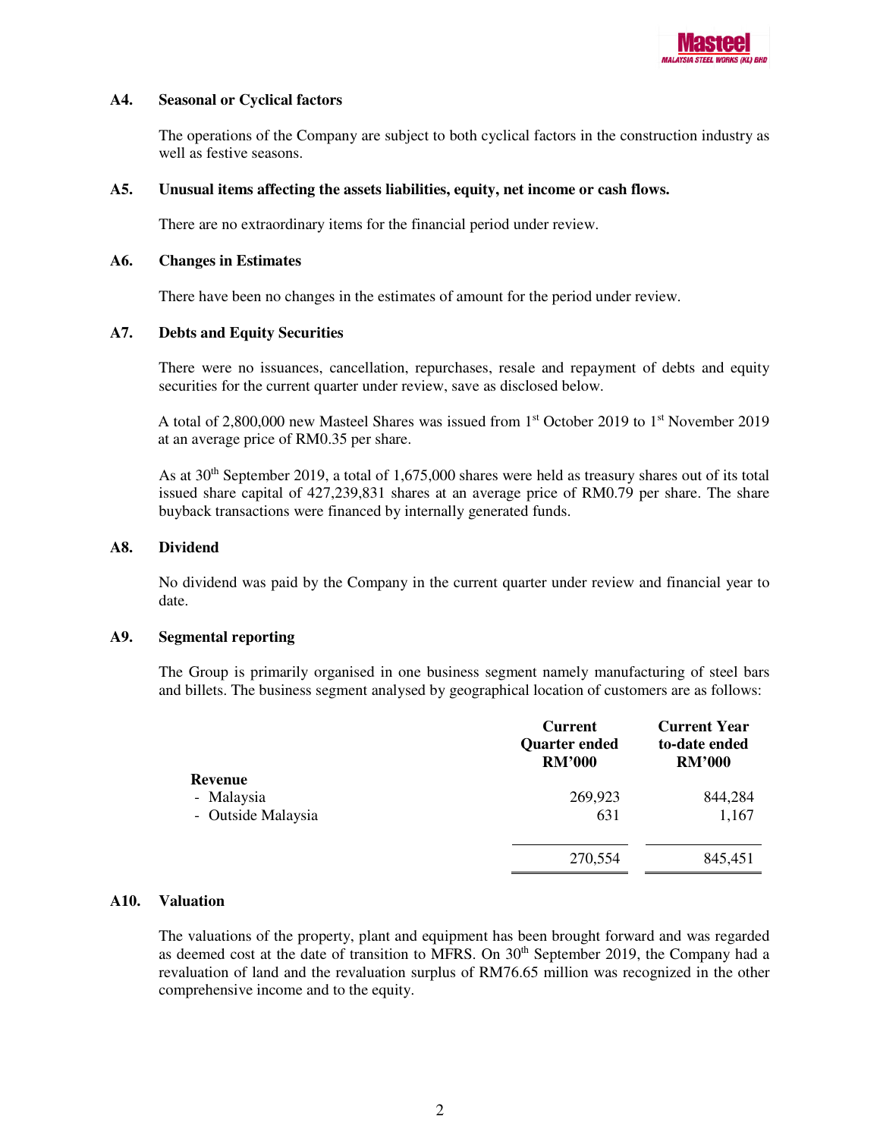

### **A4. Seasonal or Cyclical factors**

The operations of the Company are subject to both cyclical factors in the construction industry as well as festive seasons.

### **A5. Unusual items affecting the assets liabilities, equity, net income or cash flows.**

There are no extraordinary items for the financial period under review.

### **A6. Changes in Estimates**

There have been no changes in the estimates of amount for the period under review.

## **A7. Debts and Equity Securities**

There were no issuances, cancellation, repurchases, resale and repayment of debts and equity securities for the current quarter under review, save as disclosed below.

A total of 2,800,000 new Masteel Shares was issued from  $1<sup>st</sup>$  October 2019 to  $1<sup>st</sup>$  November 2019 at an average price of RM0.35 per share.

As at 30<sup>th</sup> September 2019, a total of 1,675,000 shares were held as treasury shares out of its total issued share capital of 427,239,831 shares at an average price of RM0.79 per share. The share buyback transactions were financed by internally generated funds.

### **A8. Dividend**

No dividend was paid by the Company in the current quarter under review and financial year to date.

### **A9. Segmental reporting**

The Group is primarily organised in one business segment namely manufacturing of steel bars and billets. The business segment analysed by geographical location of customers are as follows:

|                                                    | <b>Current</b><br><b>Quarter ended</b><br><b>RM'000</b> | <b>Current Year</b><br>to-date ended<br><b>RM'000</b> |
|----------------------------------------------------|---------------------------------------------------------|-------------------------------------------------------|
| <b>Revenue</b><br>- Malaysia<br>- Outside Malaysia | 269,923<br>631                                          | 844,284<br>1,167                                      |
|                                                    | 270,554                                                 | 845,451                                               |

## **A10. Valuation**

The valuations of the property, plant and equipment has been brought forward and was regarded as deemed cost at the date of transition to MFRS. On 30<sup>th</sup> September 2019, the Company had a revaluation of land and the revaluation surplus of RM76.65 million was recognized in the other comprehensive income and to the equity.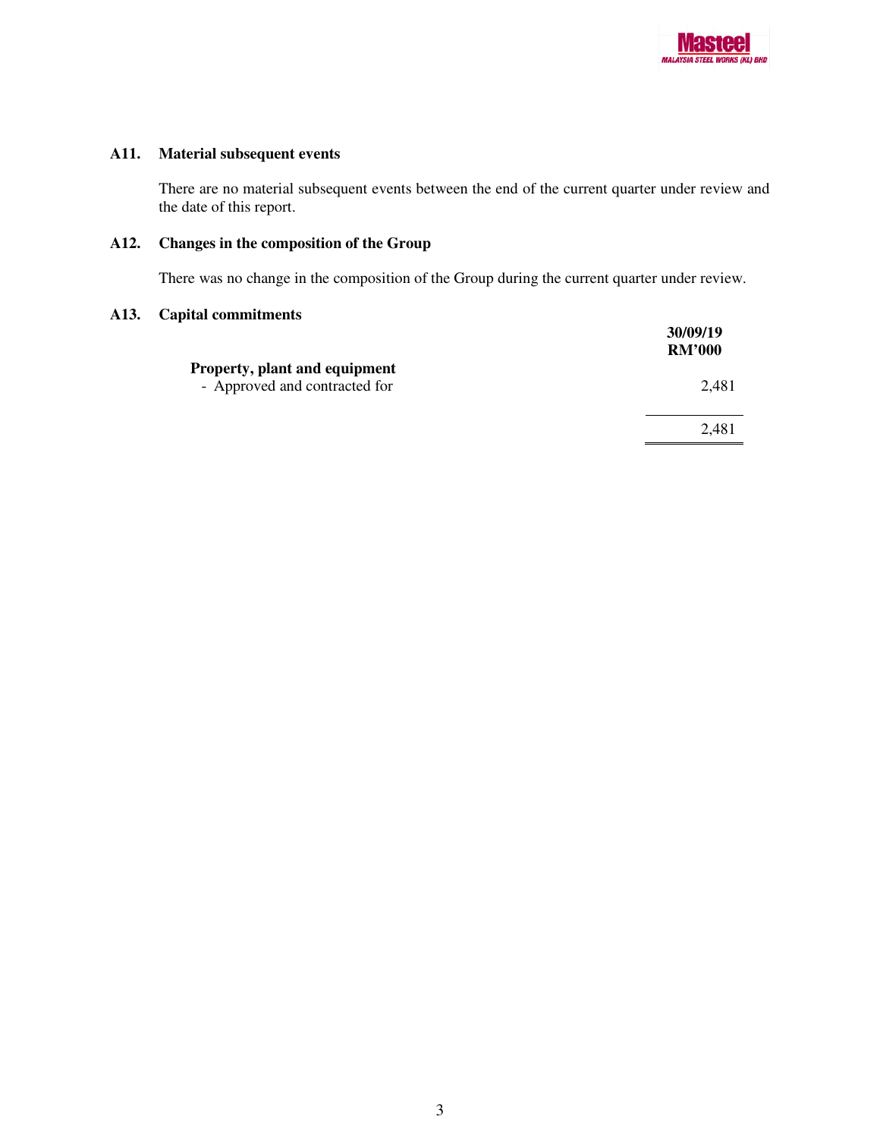

# **A11. Material subsequent events**

There are no material subsequent events between the end of the current quarter under review and the date of this report.

# **A12. Changes in the composition of the Group**

There was no change in the composition of the Group during the current quarter under review.

## **A13. Capital commitments**

|                                                                | 30/09/19<br><b>RM'000</b> |
|----------------------------------------------------------------|---------------------------|
| Property, plant and equipment<br>- Approved and contracted for | 2.481                     |
|                                                                | 2,481                     |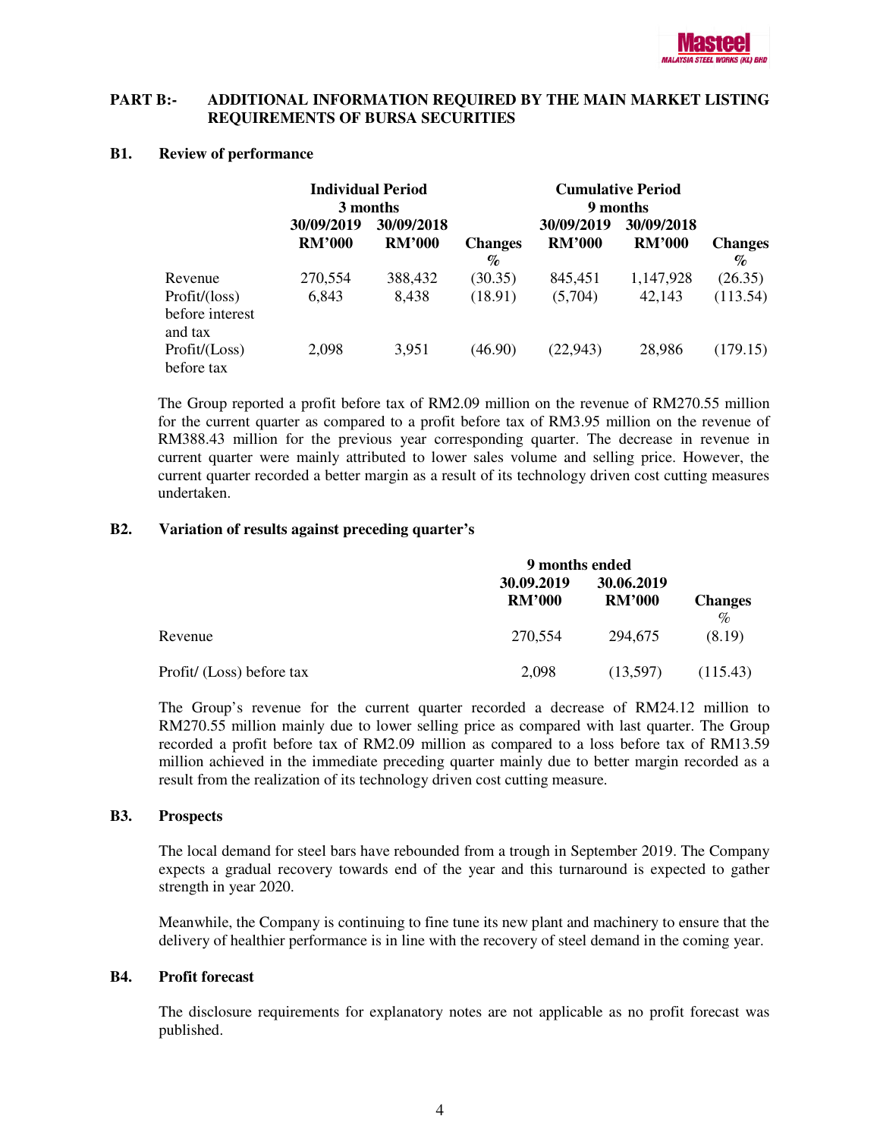

### **PART B:- ADDITIONAL INFORMATION REQUIRED BY THE MAIN MARKET LISTING REQUIREMENTS OF BURSA SECURITIES**

#### **B1. Review of performance**

|                               | <b>Individual Period</b> |               | <b>Cumulative Period</b> |               |               |                |
|-------------------------------|--------------------------|---------------|--------------------------|---------------|---------------|----------------|
|                               |                          | 3 months      |                          | 9 months      |               |                |
|                               | 30/09/2019               | 30/09/2018    |                          | 30/09/2019    | 30/09/2018    |                |
|                               | <b>RM'000</b>            | <b>RM'000</b> | <b>Changes</b>           | <b>RM'000</b> | <b>RM'000</b> | <b>Changes</b> |
|                               |                          |               | $\%$                     |               |               | $\%$           |
| Revenue                       | 270,554                  | 388,432       | (30.35)                  | 845,451       | 1,147,928     | (26.35)        |
| Profit/ (loss)                | 6,843                    | 8,438         | (18.91)                  | (5,704)       | 42,143        | (113.54)       |
| before interest<br>and tax    |                          |               |                          |               |               |                |
| Profit / (Loss)<br>before tax | 2,098                    | 3,951         | (46.90)                  | (22, 943)     | 28,986        | (179.15)       |

The Group reported a profit before tax of RM2.09 million on the revenue of RM270.55 million for the current quarter as compared to a profit before tax of RM3.95 million on the revenue of RM388.43 million for the previous year corresponding quarter. The decrease in revenue in current quarter were mainly attributed to lower sales volume and selling price. However, the current quarter recorded a better margin as a result of its technology driven cost cutting measures undertaken.

### **B2. Variation of results against preceding quarter's**

|                           | 9 months ended              |                             |                        |  |
|---------------------------|-----------------------------|-----------------------------|------------------------|--|
|                           | 30.09.2019<br><b>RM'000</b> | 30.06.2019<br><b>RM'000</b> | <b>Changes</b><br>$\%$ |  |
| Revenue                   | 270.554                     | 294,675                     | (8.19)                 |  |
| Profit/ (Loss) before tax | 2,098                       | (13,597)                    | (115.43)               |  |

The Group's revenue for the current quarter recorded a decrease of RM24.12 million to RM270.55 million mainly due to lower selling price as compared with last quarter. The Group recorded a profit before tax of RM2.09 million as compared to a loss before tax of RM13.59 million achieved in the immediate preceding quarter mainly due to better margin recorded as a result from the realization of its technology driven cost cutting measure.

### **B3. Prospects**

The local demand for steel bars have rebounded from a trough in September 2019. The Company expects a gradual recovery towards end of the year and this turnaround is expected to gather strength in year 2020.

Meanwhile, the Company is continuing to fine tune its new plant and machinery to ensure that the delivery of healthier performance is in line with the recovery of steel demand in the coming year.

### **B4. Profit forecast**

The disclosure requirements for explanatory notes are not applicable as no profit forecast was published.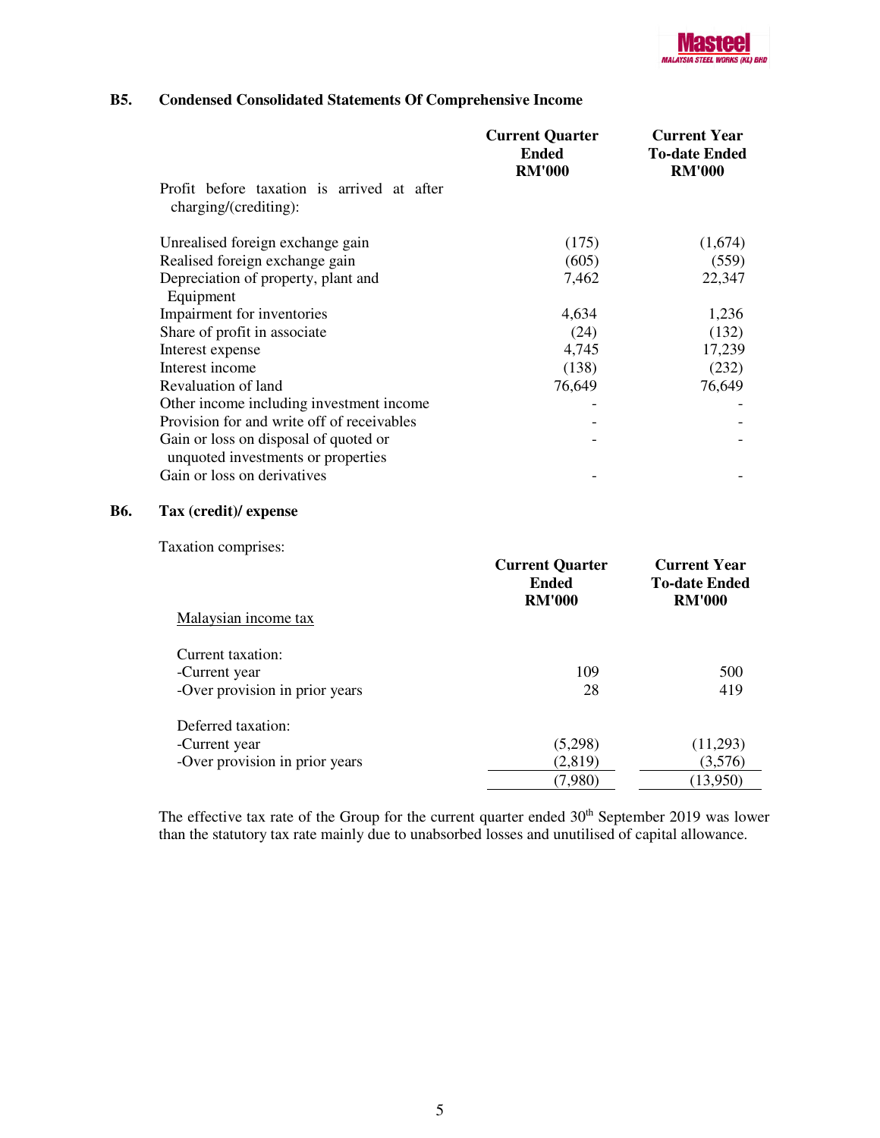# **B5. Condensed Consolidated Statements Of Comprehensive Income**

|                                                                     | <b>Current Quarter</b><br><b>Ended</b><br><b>RM'000</b> | <b>Current Year</b><br><b>To-date Ended</b><br><b>RM'000</b> |
|---------------------------------------------------------------------|---------------------------------------------------------|--------------------------------------------------------------|
| Profit before taxation is arrived at after<br>charging/(crediting): |                                                         |                                                              |
| Unrealised foreign exchange gain                                    | (175)                                                   | (1,674)                                                      |
| Realised foreign exchange gain                                      | (605)                                                   | (559)                                                        |
| Depreciation of property, plant and                                 | 7,462                                                   | 22,347                                                       |
| Equipment                                                           |                                                         |                                                              |
| Impairment for inventories                                          | 4,634                                                   | 1,236                                                        |
| Share of profit in associate                                        | (24)                                                    | (132)                                                        |
| Interest expense                                                    | 4,745                                                   | 17,239                                                       |
| Interest income                                                     | (138)                                                   | (232)                                                        |
| Revaluation of land                                                 | 76,649                                                  | 76,649                                                       |
| Other income including investment income                            |                                                         |                                                              |
| Provision for and write off of receivables                          |                                                         |                                                              |
| Gain or loss on disposal of quoted or                               |                                                         |                                                              |
| unquoted investments or properties                                  |                                                         |                                                              |
| Gain or loss on derivatives                                         |                                                         |                                                              |

## **B6. Tax (credit)/ expense**

Taxation comprises:

|                                | <b>Current Quarter</b><br><b>Ended</b><br><b>RM'000</b> | <b>Current Year</b><br><b>To-date Ended</b><br><b>RM'000</b> |
|--------------------------------|---------------------------------------------------------|--------------------------------------------------------------|
| Malaysian income tax           |                                                         |                                                              |
| Current taxation:              |                                                         |                                                              |
| -Current year                  | 109                                                     | 500                                                          |
| -Over provision in prior years | 28                                                      | 419                                                          |
| Deferred taxation:             |                                                         |                                                              |
| -Current year                  | (5,298)                                                 | (11,293)                                                     |
| -Over provision in prior years | (2,819)                                                 | (3,576)                                                      |
|                                | (7,980)                                                 | (13,950)                                                     |

The effective tax rate of the Group for the current quarter ended  $30<sup>th</sup>$  September 2019 was lower than the statutory tax rate mainly due to unabsorbed losses and unutilised of capital allowance.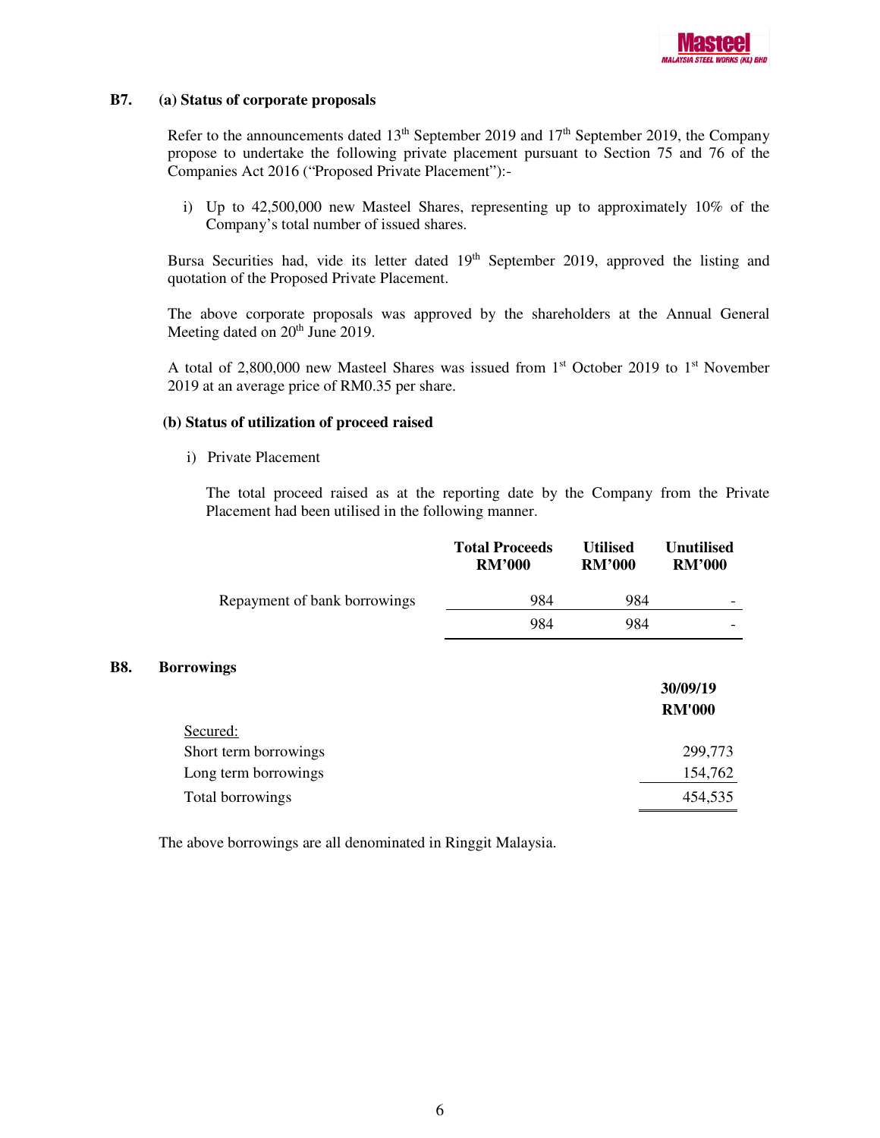

### **B7. (a) Status of corporate proposals**

Refer to the announcements dated  $13<sup>th</sup>$  September 2019 and  $17<sup>th</sup>$  September 2019, the Company propose to undertake the following private placement pursuant to Section 75 and 76 of the Companies Act 2016 ("Proposed Private Placement"):-

i) Up to 42,500,000 new Masteel Shares, representing up to approximately 10% of the Company's total number of issued shares.

Bursa Securities had, vide its letter dated 19<sup>th</sup> September 2019, approved the listing and quotation of the Proposed Private Placement.

The above corporate proposals was approved by the shareholders at the Annual General Meeting dated on 20<sup>th</sup> June 2019.

A total of 2,800,000 new Masteel Shares was issued from 1<sup>st</sup> October 2019 to 1<sup>st</sup> November 2019 at an average price of RM0.35 per share.

### **(b) Status of utilization of proceed raised**

i) Private Placement

The total proceed raised as at the reporting date by the Company from the Private Placement had been utilised in the following manner.

|                              | <b>Total Proceeds</b><br><b>RM'000</b> | <b>Utilised</b><br><b>RM'000</b> | Unutilised<br><b>RM'000</b> |
|------------------------------|----------------------------------------|----------------------------------|-----------------------------|
| Repayment of bank borrowings | 984                                    | 984                              |                             |
|                              | 984                                    | 984                              |                             |
|                              |                                        |                                  |                             |

#### **B8. Borrowings**

|                       | 30/09/19      |
|-----------------------|---------------|
|                       | <b>RM'000</b> |
| Secured:              |               |
| Short term borrowings | 299,773       |
| Long term borrowings  | 154,762       |
| Total borrowings      | 454,535       |

The above borrowings are all denominated in Ringgit Malaysia.